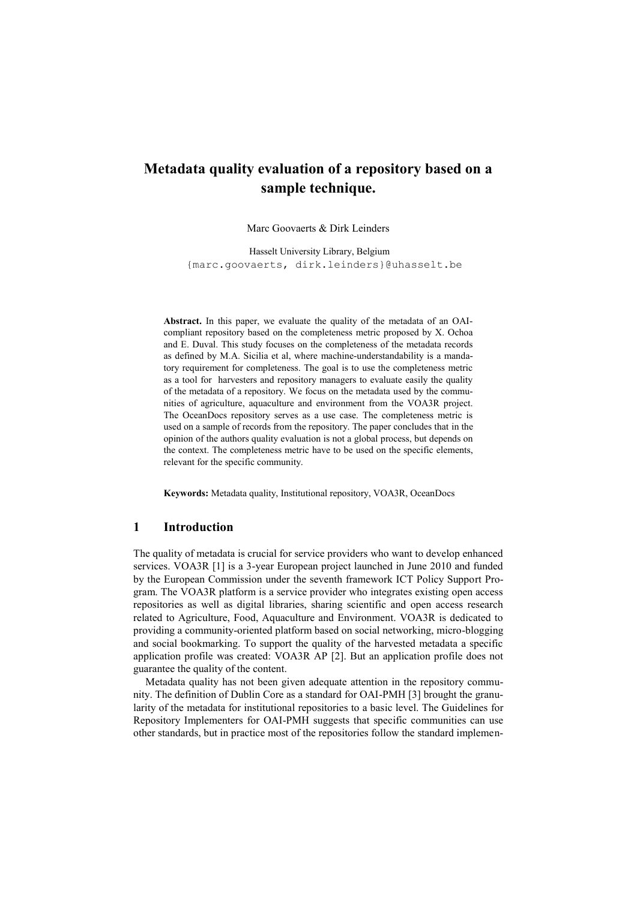# **Metadata quality evaluation of a repository based on a sample technique.**

Marc Goovaerts & Dirk Leinders

Hasselt University Library, Belgium {marc.goovaerts, dirk.leinders}@uhasselt.be

**Abstract.** In this paper, we evaluate the quality of the metadata of an OAIcompliant repository based on the completeness metric proposed by X. Ochoa and E. Duval. This study focuses on the completeness of the metadata records as defined by M.A. Sicilia et al, where machine-understandability is a mandatory requirement for completeness. The goal is to use the completeness metric as a tool for harvesters and repository managers to evaluate easily the quality of the metadata of a repository. We focus on the metadata used by the communities of agriculture, aquaculture and environment from the VOA3R project. The OceanDocs repository serves as a use case. The completeness metric is used on a sample of records from the repository. The paper concludes that in the opinion of the authors quality evaluation is not a global process, but depends on the context. The completeness metric have to be used on the specific elements, relevant for the specific community.

**Keywords:** Metadata quality, Institutional repository, VOA3R, OceanDocs

## **1 Introduction**

The quality of metadata is crucial for service providers who want to develop enhanced services. VOA3R [1] is a 3-year European project launched in June 2010 and funded by the European Commission under the seventh framework ICT Policy Support Program. The VOA3R platform is a service provider who integrates existing open access repositories as well as digital libraries, sharing scientific and open access research related to Agriculture, Food, Aquaculture and Environment. VOA3R is dedicated to providing a community-oriented platform based on social networking, micro-blogging and social bookmarking. To support the quality of the harvested metadata a specific application profile was created: VOA3R AP [2]. But an application profile does not guarantee the quality of the content.

Metadata quality has not been given adequate attention in the repository community. The definition of Dublin Core as a standard for OAI-PMH [3] brought the granularity of the metadata for institutional repositories to a basic level. The Guidelines for Repository Implementers for OAI-PMH suggests that specific communities can use other standards, but in practice most of the repositories follow the standard implemen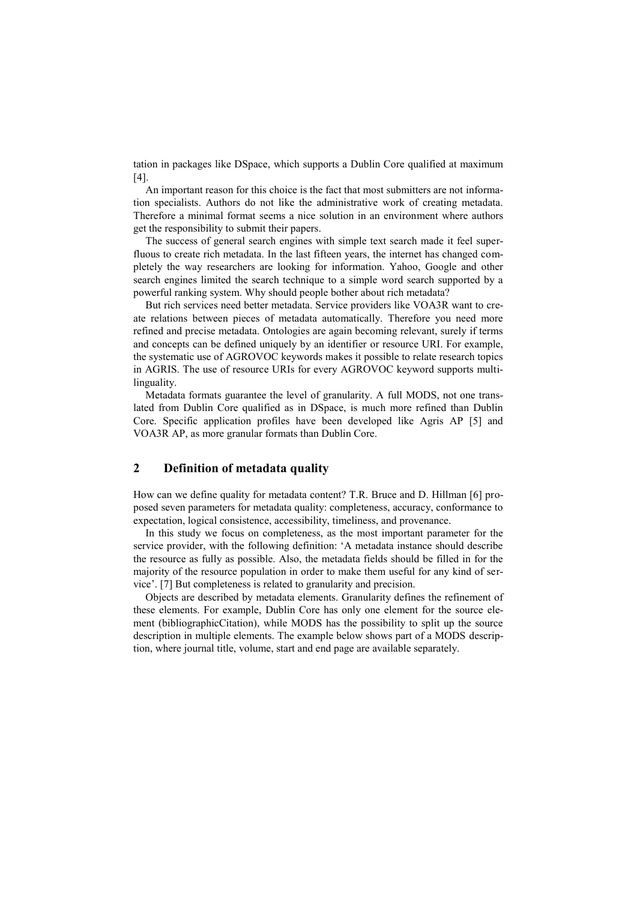tation in packages like DSpace, which supports a Dublin Core qualified at maximum [4].

An important reason for this choice is the fact that most submitters are not information specialists. Authors do not like the administrative work of creating metadata. Therefore a minimal format seems a nice solution in an environment where authors get the responsibility to submit their papers.

The success of general search engines with simple text search made it feel superfluous to create rich metadata. In the last fifteen years, the internet has changed completely the way researchers are looking for information. Yahoo, Google and other search engines limited the search technique to a simple word search supported by a powerful ranking system. Why should people bother about rich metadata?

But rich services need better metadata. Service providers like VOA3R want to create relations between pieces of metadata automatically. Therefore you need more refined and precise metadata. Ontologies are again becoming relevant, surely if terms and concepts can be defined uniquely by an identifier or resource URI. For example, the systematic use of AGROVOC keywords makes it possible to relate research topics in AGRIS. The use of resource URIs for every AGROVOC keyword supports multilinguality.

Metadata formats guarantee the level of granularity. A full MODS, not one translated from Dublin Core qualified as in DSpace, is much more refined than Dublin Core. Specific application profiles have been developed like Agris AP [5] and VOA3R AP, as more granular formats than Dublin Core.

# **2 Definition of metadata quality**

How can we define quality for metadata content? T.R. Bruce and D. Hillman [6] proposed seven parameters for metadata quality: completeness, accuracy, conformance to expectation, logical consistence, accessibility, timeliness, and provenance.

In this study we focus on completeness, as the most important parameter for the service provider, with the following definition: 'A metadata instance should describe the resource as fully as possible. Also, the metadata fields should be filled in for the majority of the resource population in order to make them useful for any kind of service'. [7] But completeness is related to granularity and precision.

Objects are described by metadata elements. Granularity defines the refinement of these elements. For example, Dublin Core has only one element for the source element (bibliographicCitation), while MODS has the possibility to split up the source description in multiple elements. The example below shows part of a MODS description, where journal title, volume, start and end page are available separately.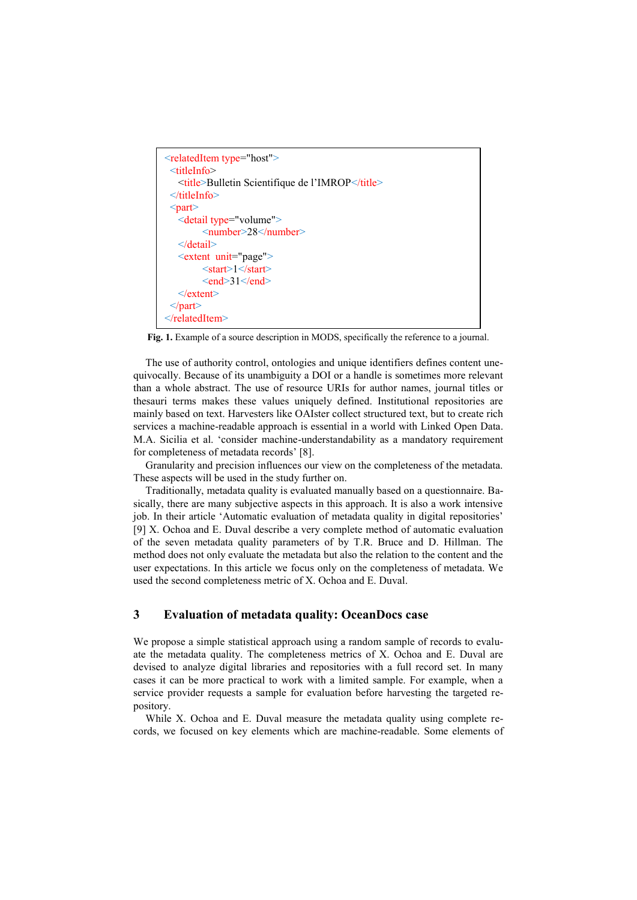```
<relatedItem type="host">
 <titleInfo>
   <title>Bulletin Scientifique de l'IMROP</title>
 </titleInfo>
\leqnart\geq<detail type="volume">
        <number>28</number>
   </detail>
   <extent unit="page">
        \leqstart>1 \leq/start>\leqend>31\leq/end>\le/extent\ge</part></relatedItem>
```
**Fig. 1.** Example of a source description in MODS, specifically the reference to a journal.

The use of authority control, ontologies and unique identifiers defines content unequivocally. Because of its unambiguity a DOI or a handle is sometimes more relevant than a whole abstract. The use of resource URIs for author names, journal titles or thesauri terms makes these values uniquely defined. Institutional repositories are mainly based on text. Harvesters like OAIster collect structured text, but to create rich services a machine-readable approach is essential in a world with Linked Open Data. M.A. Sicilia et al. 'consider machine-understandability as a mandatory requirement for completeness of metadata records' [8].

Granularity and precision influences our view on the completeness of the metadata. These aspects will be used in the study further on.

Traditionally, metadata quality is evaluated manually based on a questionnaire. Basically, there are many subjective aspects in this approach. It is also a work intensive job. In their article 'Automatic evaluation of metadata quality in digital repositories' [9] X. Ochoa and E. Duval describe a very complete method of automatic evaluation of the seven metadata quality parameters of by T.R. Bruce and D. Hillman. The method does not only evaluate the metadata but also the relation to the content and the user expectations. In this article we focus only on the completeness of metadata. We used the second completeness metric of X. Ochoa and E. Duval.

# **3 Evaluation of metadata quality: OceanDocs case**

We propose a simple statistical approach using a random sample of records to evaluate the metadata quality. The completeness metrics of X. Ochoa and E. Duval are devised to analyze digital libraries and repositories with a full record set. In many cases it can be more practical to work with a limited sample. For example, when a service provider requests a sample for evaluation before harvesting the targeted repository.

While X. Ochoa and E. Duval measure the metadata quality using complete records, we focused on key elements which are machine-readable. Some elements of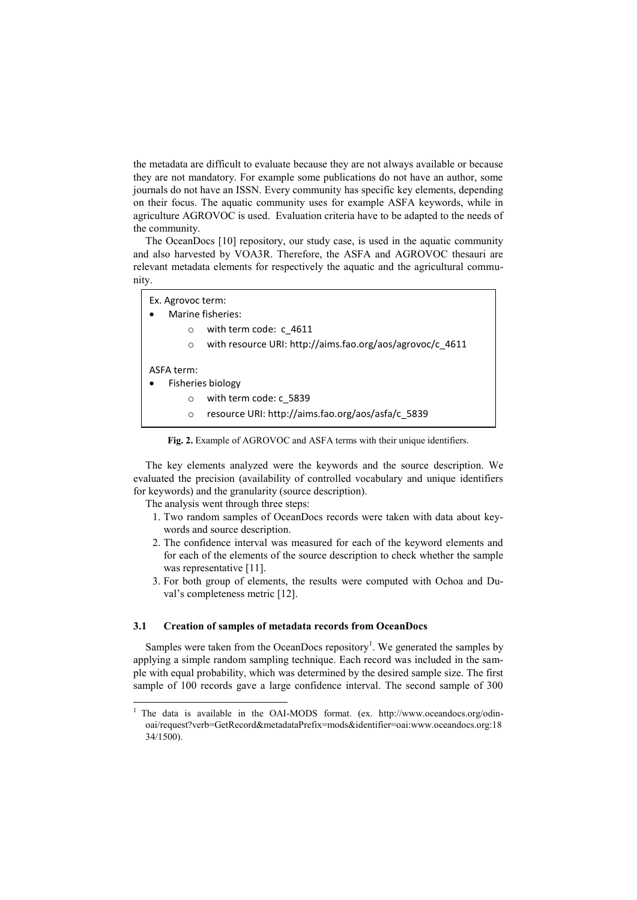the metadata are difficult to evaluate because they are not always available or because they are not mandatory. For example some publications do not have an author, some journals do not have an ISSN. Every community has specific key elements, depending on their focus. The aquatic community uses for example ASFA keywords, while in agriculture AGROVOC is used. Evaluation criteria have to be adapted to the needs of the community.

The OceanDocs [10] repository, our study case, is used in the aquatic community and also harvested by VOA3R. Therefore, the ASFA and AGROVOC thesauri are relevant metadata elements for respectively the aquatic and the agricultural community.

Ex. Agrovoc term:

```
 Marine fisheries:
```
- o with term code: c\_4611
- o with resource URI: http://aims.fao.org/aos/agrovoc/c\_4611

ASFA term:

l

- Fisheries biology
	- o with term code: c\_5839
	- o resource URI: http://aims.fao.org/aos/asfa/c\_5839

**Fig. 2.** Example of AGROVOC and ASFA terms with their unique identifiers.

The key elements analyzed were the keywords and the source description. We evaluated the precision (availability of controlled vocabulary and unique identifiers for keywords) and the granularity (source description).

The analysis went through three steps:

- 1. Two random samples of OceanDocs records were taken with data about keywords and source description.
- 2. The confidence interval was measured for each of the keyword elements and for each of the elements of the source description to check whether the sample was representative [11].
- 3. For both group of elements, the results were computed with Ochoa and Duval's completeness metric [12].

#### **3.1 Creation of samples of metadata records from OceanDocs**

Samples were taken from the OceanDocs repository<sup>1</sup>. We generated the samples by applying a simple random sampling technique. Each record was included in the sample with equal probability, which was determined by the desired sample size. The first sample of 100 records gave a large confidence interval. The second sample of 300

<sup>&</sup>lt;sup>1</sup> The data is available in the OAI-MODS format. (ex. http://www.oceandocs.org/odinoai/request?verb=GetRecord&metadataPrefix=mods&identifier=oai:www.oceandocs.org:18 34/1500).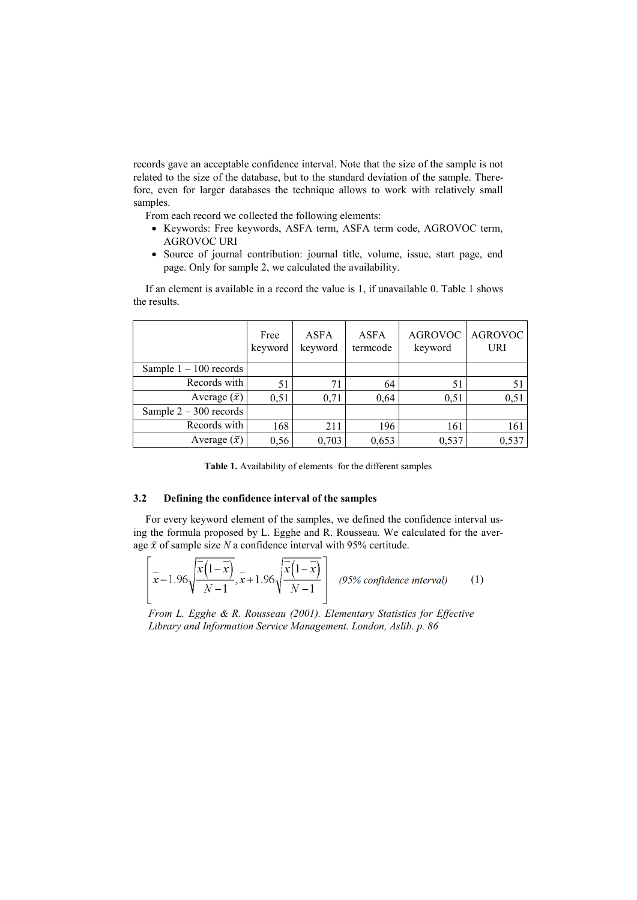records gave an acceptable confidence interval. Note that the size of the sample is not related to the size of the database, but to the standard deviation of the sample. Therefore, even for larger databases the technique allows to work with relatively small samples.

From each record we collected the following elements:

- Keywords: Free keywords, ASFA term, ASFA term code, AGROVOC term, AGROVOC URI
- Source of journal contribution: journal title, volume, issue, start page, end page. Only for sample 2, we calculated the availability.

If an element is available in a record the value is 1, if unavailable 0. Table 1 shows the results.

|                          | Free<br>keyword | <b>ASFA</b><br>keyword | <b>ASFA</b><br>termcode | <b>AGROVOC</b><br>keyword | <b>AGROVOC</b><br>URI |
|--------------------------|-----------------|------------------------|-------------------------|---------------------------|-----------------------|
| Sample $1 - 100$ records |                 |                        |                         |                           |                       |
| Records with             | 51              | 71                     | 64                      | 51                        | 51                    |
| Average $(\bar{x})$      | 0,51            | 0,71                   | 0,64                    | 0,51                      | 0,51                  |
| Sample $2 - 300$ records |                 |                        |                         |                           |                       |
| Records with             | 168             | 211                    | 196                     | 161                       | 161                   |
| Average $(\bar{x})$      | 0,56            | 0,703                  | 0,653                   | 0,537                     | 0,537                 |

**Table 1.** Availability of elements for the different samples

### **3.2 Defining the confidence interval of the samples**

For every keyword element of the samples, we defined the confidence interval using the formula proposed by L. Egghe and R. Rousseau. We calculated for the average  $\bar{x}$  of sample size *N* a confidence interval with 95% certitude.

$$
\left[\overline{x} - 1.96\sqrt{\frac{\overline{x}(1-\overline{x})}{N-1}}, \overline{x} + 1.96\sqrt{\frac{\overline{x}(1-\overline{x})}{N-1}}\right] \quad (95\% confidence interval) \tag{1}
$$

*From L. Egghe & R. Rousseau (2001). Elementary Statistics for Effective Library and Information Service Management. London, Aslib. p. 86*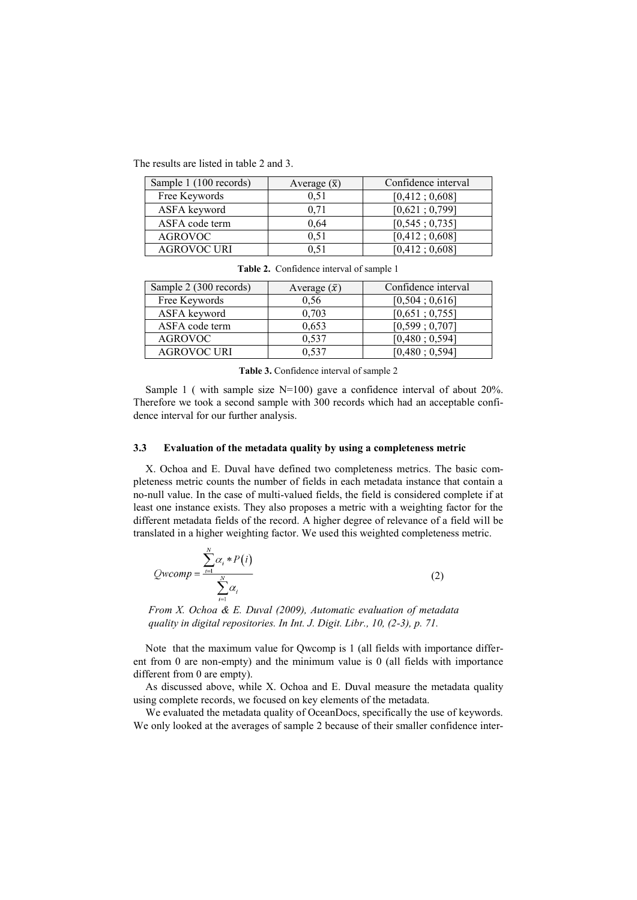The results are listed in table 2 and 3.

| Sample 1 (100 records) | Average $(\bar{x})$ | Confidence interval |
|------------------------|---------------------|---------------------|
| Free Keywords          | 0.51                | [0,412; 0,608]      |
| ASFA keyword           | 0.71                | [0,621; 0,799]      |
| ASFA code term         | 0.64                | [0,545; 0,735]      |
| <b>AGROVOC</b>         | 0.51                | [0,412; 0,608]      |
| <b>AGROVOC URI</b>     | 0.51                | [0,412; 0,608]      |

Sample 2 (300 records) Average  $(\bar{x})$  Confidence interval Free Keywords 0,56 [0,504 ; 0,616]<br>ASFA keyword 0.703 [0.651 : 0.755] ASFA keyword 0,703 [0,651 ; 0,755] ASFA code term  $0,653$  [0,599 ; 0,707] AGROVOC 1 0.537 [0.480 : 0.594] AGROVOC URI 0,537 [0,480 ; 0,594]

**Table 2.** Confidence interval of sample 1

|  | <b>Table 3.</b> Confidence interval of sample 2 |  |  |
|--|-------------------------------------------------|--|--|
|  |                                                 |  |  |

Sample 1 ( with sample size N=100) gave a confidence interval of about 20%. Therefore we took a second sample with 300 records which had an acceptable confidence interval for our further analysis.

#### **3.3 Evaluation of the metadata quality by using a completeness metric**

X. Ochoa and E. Duval have defined two completeness metrics. The basic completeness metric counts the number of fields in each metadata instance that contain a no-null value. In the case of multi-valued fields, the field is considered complete if at least one instance exists. They also proposes a metric with a weighting factor for the different metadata fields of the record. A higher degree of relevance of a field will be translated in a higher weighting factor. We used this weighted completeness metric.

$$
Qwcomp = \frac{\sum_{i=1}^{N} \alpha_i * P(i)}{\sum_{i=1}^{N} \alpha_i}
$$
 (2)

*From X. Ochoa & E. Duval (2009), Automatic evaluation of metadata quality in digital repositories. In Int. J. Digit. Libr., 10, (2-3), p. 71.*

Note that the maximum value for Qwcomp is 1 (all fields with importance different from 0 are non-empty) and the minimum value is 0 (all fields with importance different from 0 are empty).

As discussed above, while X. Ochoa and E. Duval measure the metadata quality using complete records, we focused on key elements of the metadata.

We evaluated the metadata quality of OceanDocs, specifically the use of keywords. We only looked at the averages of sample 2 because of their smaller confidence inter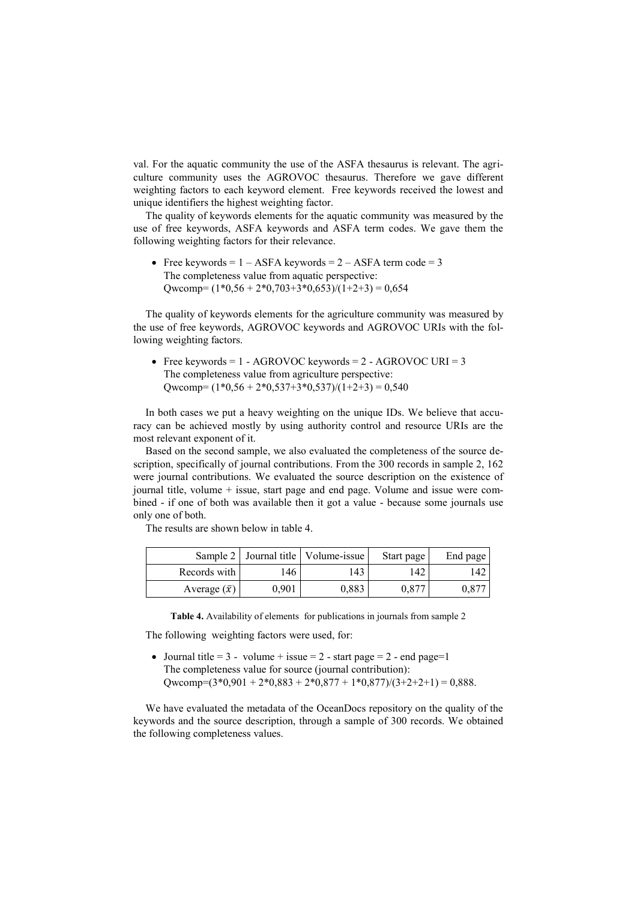val. For the aquatic community the use of the ASFA thesaurus is relevant. The agriculture community uses the AGROVOC thesaurus. Therefore we gave different weighting factors to each keyword element. Free keywords received the lowest and unique identifiers the highest weighting factor.

The quality of keywords elements for the aquatic community was measured by the use of free keywords, ASFA keywords and ASFA term codes. We gave them the following weighting factors for their relevance.

• Free keywords =  $1 - ASFA$  keywords =  $2 - ASFA$  term code = 3 The completeness value from aquatic perspective: Qwcomp=  $(1*0.56 + 2*0.703 + 3*0.653)/(1+2+3) = 0.654$ 

The quality of keywords elements for the agriculture community was measured by the use of free keywords, AGROVOC keywords and AGROVOC URIs with the following weighting factors.

• Free keywords = 1 - AGROVOC keywords = 2 - AGROVOC URI = 3 The completeness value from agriculture perspective: Qwcomp=  $(1*0,56 + 2*0,537+3*0,537)/(1+2+3) = 0,540$ 

In both cases we put a heavy weighting on the unique IDs. We believe that accuracy can be achieved mostly by using authority control and resource URIs are the most relevant exponent of it.

Based on the second sample, we also evaluated the completeness of the source description, specifically of journal contributions. From the 300 records in sample 2, 162 were journal contributions. We evaluated the source description on the existence of journal title, volume + issue, start page and end page. Volume and issue were combined - if one of both was available then it got a value - because some journals use only one of both.

The results are shown below in table 4.

|                     |       | Sample 2   Journal title   Volume-issue | Start page | End page |
|---------------------|-------|-----------------------------------------|------------|----------|
| Records with I      | 146   | 143                                     | 142        | 142      |
| Average $(\bar{x})$ | 0.901 | 0.883                                   | 0.877      | 0.877    |

**Table 4.** Availability of elements for publications in journals from sample 2

The following weighting factors were used, for:

• Journal title = 3 - volume + issue = 2 - start page = 2 - end page=1 The completeness value for source (journal contribution): Qwcomp= $(3*0,901 + 2*0,883 + 2*0,877 + 1*0,877)/(3+2+2+1) = 0,888$ .

We have evaluated the metadata of the OceanDocs repository on the quality of the keywords and the source description, through a sample of 300 records. We obtained the following completeness values.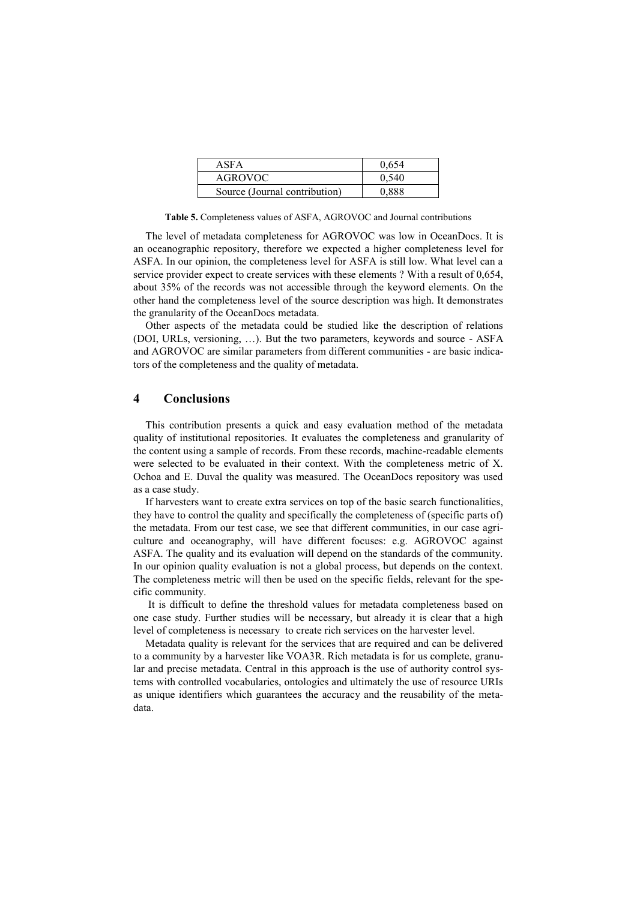| ASFA                          | 0.654 |
|-------------------------------|-------|
| AGROVOC                       | 0.540 |
| Source (Journal contribution) | 0,888 |

**Table 5.** Completeness values of ASFA, AGROVOC and Journal contributions

The level of metadata completeness for AGROVOC was low in OceanDocs. It is an oceanographic repository, therefore we expected a higher completeness level for ASFA. In our opinion, the completeness level for ASFA is still low. What level can a service provider expect to create services with these elements ? With a result of 0,654, about 35% of the records was not accessible through the keyword elements. On the other hand the completeness level of the source description was high. It demonstrates the granularity of the OceanDocs metadata.

Other aspects of the metadata could be studied like the description of relations (DOI, URLs, versioning, …). But the two parameters, keywords and source - ASFA and AGROVOC are similar parameters from different communities - are basic indicators of the completeness and the quality of metadata.

### **4 Conclusions**

This contribution presents a quick and easy evaluation method of the metadata quality of institutional repositories. It evaluates the completeness and granularity of the content using a sample of records. From these records, machine-readable elements were selected to be evaluated in their context. With the completeness metric of X. Ochoa and E. Duval the quality was measured. The OceanDocs repository was used as a case study.

If harvesters want to create extra services on top of the basic search functionalities, they have to control the quality and specifically the completeness of (specific parts of) the metadata. From our test case, we see that different communities, in our case agriculture and oceanography, will have different focuses: e.g. AGROVOC against ASFA. The quality and its evaluation will depend on the standards of the community. In our opinion quality evaluation is not a global process, but depends on the context. The completeness metric will then be used on the specific fields, relevant for the specific community.

It is difficult to define the threshold values for metadata completeness based on one case study. Further studies will be necessary, but already it is clear that a high level of completeness is necessary to create rich services on the harvester level.

Metadata quality is relevant for the services that are required and can be delivered to a community by a harvester like VOA3R. Rich metadata is for us complete, granular and precise metadata. Central in this approach is the use of authority control systems with controlled vocabularies, ontologies and ultimately the use of resource URIs as unique identifiers which guarantees the accuracy and the reusability of the metadata.